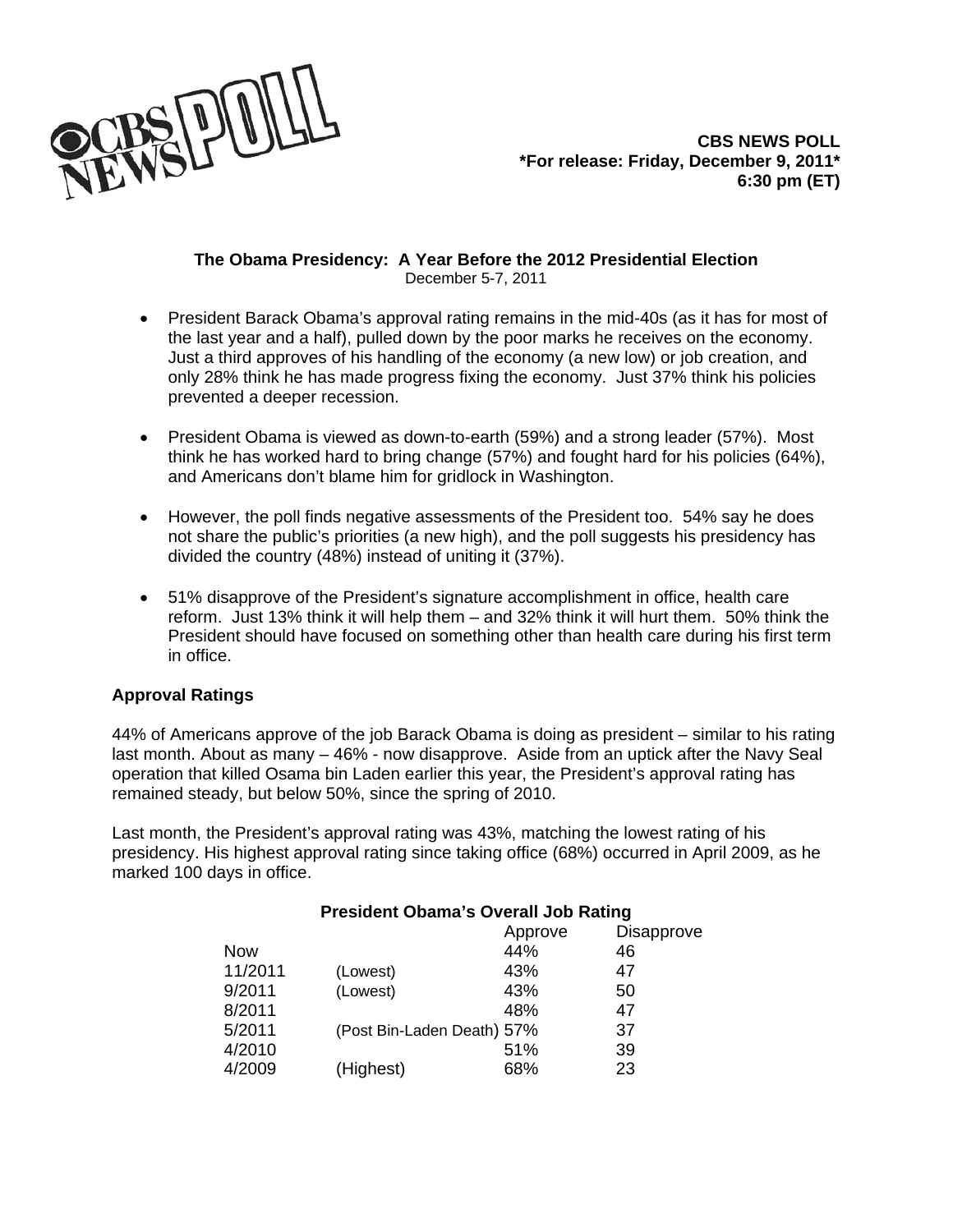

## **The Obama Presidency: A Year Before the 2012 Presidential Election**  December 5-7, 2011

- President Barack Obama's approval rating remains in the mid-40s (as it has for most of the last year and a half), pulled down by the poor marks he receives on the economy. Just a third approves of his handling of the economy (a new low) or job creation, and only 28% think he has made progress fixing the economy. Just 37% think his policies prevented a deeper recession.
- President Obama is viewed as down-to-earth (59%) and a strong leader (57%). Most think he has worked hard to bring change (57%) and fought hard for his policies (64%), and Americans don't blame him for gridlock in Washington.
- However, the poll finds negative assessments of the President too. 54% say he does not share the public's priorities (a new high), and the poll suggests his presidency has divided the country (48%) instead of uniting it (37%).
- 51% disapprove of the President's signature accomplishment in office, health care reform. Just 13% think it will help them – and 32% think it will hurt them. 50% think the President should have focused on something other than health care during his first term in office.

# **Approval Ratings**

44% of Americans approve of the job Barack Obama is doing as president – similar to his rating last month. About as many – 46% - now disapprove. Aside from an uptick after the Navy Seal operation that killed Osama bin Laden earlier this year, the President's approval rating has remained steady, but below 50%, since the spring of 2010.

Last month, the President's approval rating was 43%, matching the lowest rating of his presidency. His highest approval rating since taking office (68%) occurred in April 2009, as he marked 100 days in office.

|           | Approve | <b>Disapprove</b>          |
|-----------|---------|----------------------------|
|           | 44%     | 46                         |
| (Lowest)  | 43%     | 47                         |
| (Lowest)  | 43%     | 50                         |
|           | 48%     | 47                         |
|           |         | 37                         |
|           | 51%     | 39                         |
| (Highest) | 68%     | 23                         |
|           |         | (Post Bin-Laden Death) 57% |

# **President Obama's Overall Job Rating**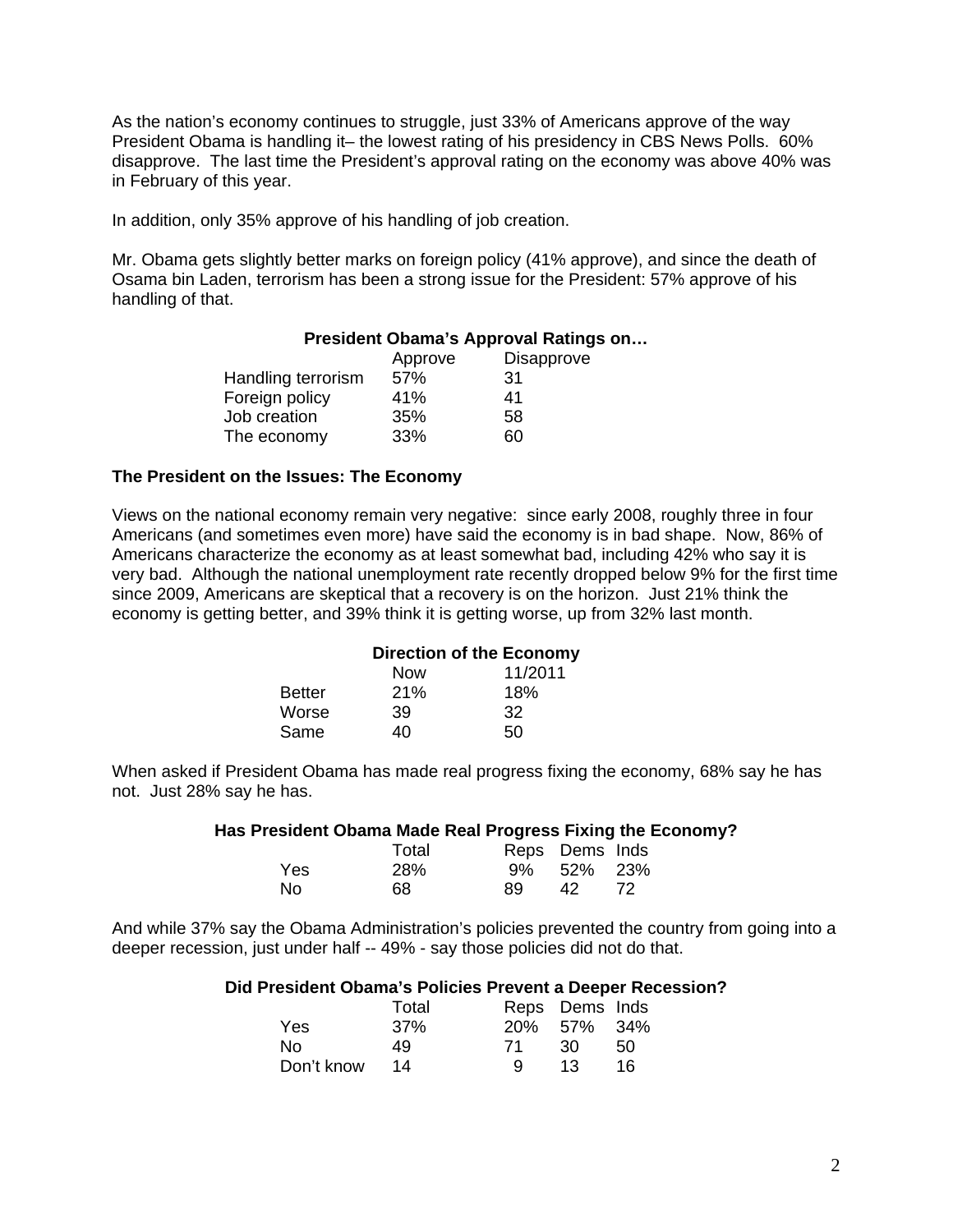As the nation's economy continues to struggle, just 33% of Americans approve of the way President Obama is handling it– the lowest rating of his presidency in CBS News Polls. 60% disapprove. The last time the President's approval rating on the economy was above 40% was in February of this year.

In addition, only 35% approve of his handling of job creation.

Mr. Obama gets slightly better marks on foreign policy (41% approve), and since the death of Osama bin Laden, terrorism has been a strong issue for the President: 57% approve of his handling of that.

## **President Obama's Approval Ratings on…**

|                    | Approve | <b>Disapprove</b> |
|--------------------|---------|-------------------|
| Handling terrorism | 57%     | 31                |
| Foreign policy     | 41%     | 41                |
| Job creation       | 35%     | 58                |
| The economy        | 33%     | 60                |

## **The President on the Issues: The Economy**

Views on the national economy remain very negative: since early 2008, roughly three in four Americans (and sometimes even more) have said the economy is in bad shape. Now, 86% of Americans characterize the economy as at least somewhat bad, including 42% who say it is very bad. Although the national unemployment rate recently dropped below 9% for the first time since 2009, Americans are skeptical that a recovery is on the horizon. Just 21% think the economy is getting better, and 39% think it is getting worse, up from 32% last month.

## **Direction of the Economy**

|               | <b>Now</b> | 11/2011 |
|---------------|------------|---------|
| <b>Better</b> | 21%        | 18%     |
| Worse         | 39         | 32      |
| Same          | 40         | 50      |

When asked if President Obama has made real progress fixing the economy, 68% say he has not. Just 28% say he has.

#### **Has President Obama Made Real Progress Fixing the Economy?**

|     | Total |     | Reps Dems Inds |  |
|-----|-------|-----|----------------|--|
| Yes | 28%   |     | 9% 52% 23%     |  |
| No  | 68    | 89. | 42             |  |

And while 37% say the Obama Administration's policies prevented the country from going into a deeper recession, just under half -- 49% - say those policies did not do that.

## **Did President Obama's Policies Prevent a Deeper Recession?**

|            | Total |    | Reps Dems Inds |     |
|------------|-------|----|----------------|-----|
| Yes        | 37%   |    | 20% 57% 34%    |     |
| No.        | 49.   | 71 | 30             | -50 |
| Don't know | 14    | Q  | 13             | 16. |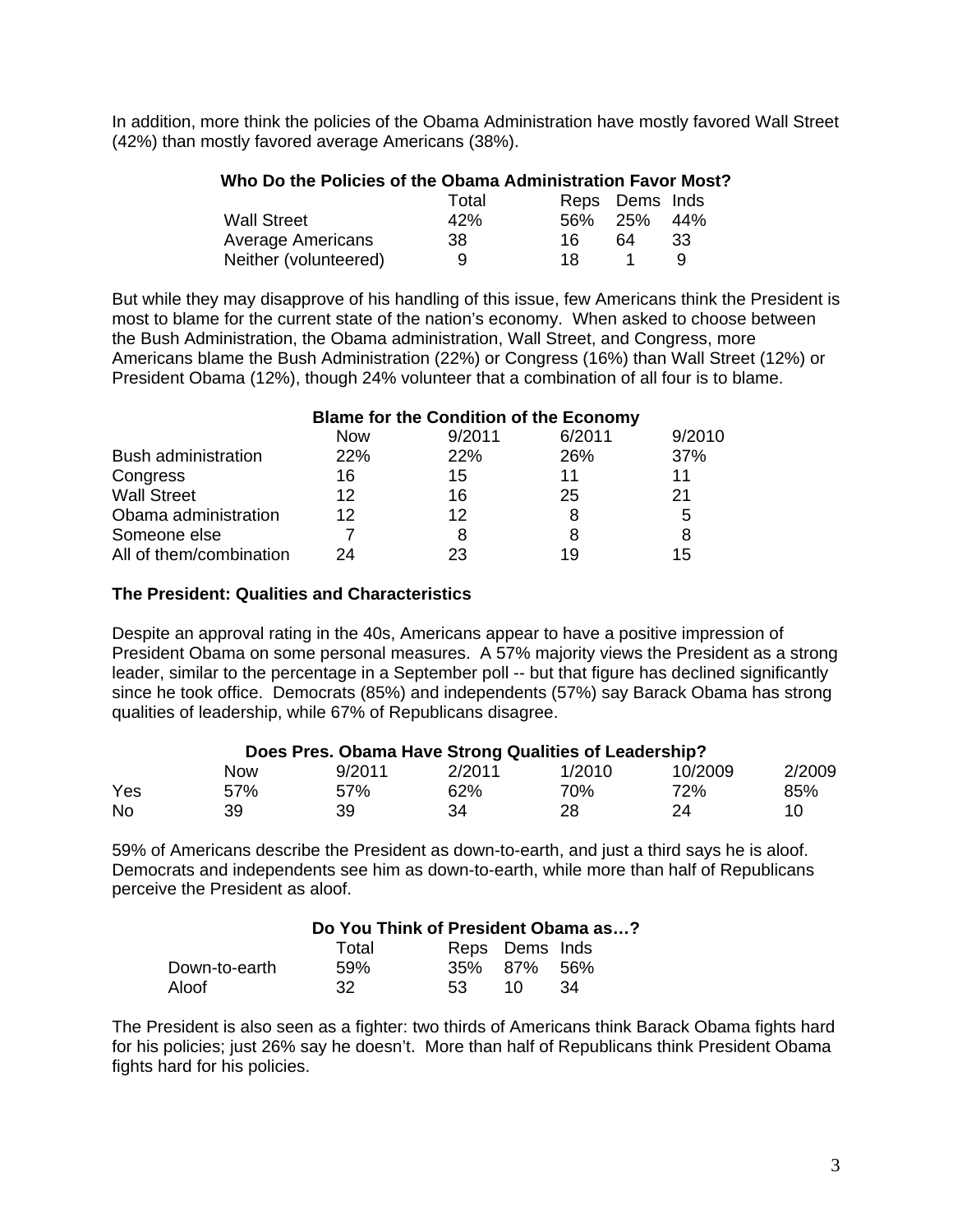In addition, more think the policies of the Obama Administration have mostly favored Wall Street (42%) than mostly favored average Americans (38%).

| Who Do the Policies of the Obama Administration Favor Most? |       |                |    |     |
|-------------------------------------------------------------|-------|----------------|----|-----|
|                                                             | Total | Reps Dems Inds |    |     |
| <b>Wall Street</b>                                          | 42%   | 56% 25%        |    | 44% |
| <b>Average Americans</b>                                    | 38    | 16.            | 64 | 33  |
| Neither (volunteered)                                       | 9     | 18.            |    | a   |

But while they may disapprove of his handling of this issue, few Americans think the President is most to blame for the current state of the nation's economy. When asked to choose between the Bush Administration, the Obama administration, Wall Street, and Congress, more Americans blame the Bush Administration (22%) or Congress (16%) than Wall Street (12%) or President Obama (12%), though 24% volunteer that a combination of all four is to blame.

|                            | <b>Blame for the Condition of the Economy</b> |        |        |        |
|----------------------------|-----------------------------------------------|--------|--------|--------|
|                            | <b>Now</b>                                    | 9/2011 | 6/2011 | 9/2010 |
| <b>Bush administration</b> | <b>22%</b>                                    | 22%    | 26%    | 37%    |
| Congress                   | 16                                            | 15     | 11     | 11     |
| <b>Wall Street</b>         | 12                                            | 16     | 25     | 21     |
| Obama administration       | 12                                            | 12     | 8      | 5      |
| Someone else               |                                               | 8      | 8      | 8      |
| All of them/combination    | 24                                            | 23     | 19     | 15     |

## **The President: Qualities and Characteristics**

Despite an approval rating in the 40s, Americans appear to have a positive impression of President Obama on some personal measures. A 57% majority views the President as a strong leader, similar to the percentage in a September poll -- but that figure has declined significantly since he took office. Democrats (85%) and independents (57%) say Barack Obama has strong qualities of leadership, while 67% of Republicans disagree.

| Does Pres. Obama Have Strong Qualities of Leadership? |            |        |        |        |         |        |
|-------------------------------------------------------|------------|--------|--------|--------|---------|--------|
|                                                       | <b>Now</b> | 9/2011 | 2/2011 | 1/2010 | 10/2009 | 2/2009 |
| Yes                                                   | 57%        | 57%    | 62%    | 70%    | 72%     | 85%    |
| <b>No</b>                                             | 39         | 39     | 34     | 28     | 24      | 10     |

59% of Americans describe the President as down-to-earth, and just a third says he is aloof. Democrats and independents see him as down-to-earth, while more than half of Republicans perceive the President as aloof.

|  | Do You Think of President Obama as? |
|--|-------------------------------------|
|  |                                     |

|               | Total |     | Reps Dems Inds |     |
|---------------|-------|-----|----------------|-----|
| Down-to-earth | 59%   |     | 35% 87% 56%    |     |
| Aloof         | -32   | 53. | - 1 O          | -34 |

The President is also seen as a fighter: two thirds of Americans think Barack Obama fights hard for his policies; just 26% say he doesn't. More than half of Republicans think President Obama fights hard for his policies.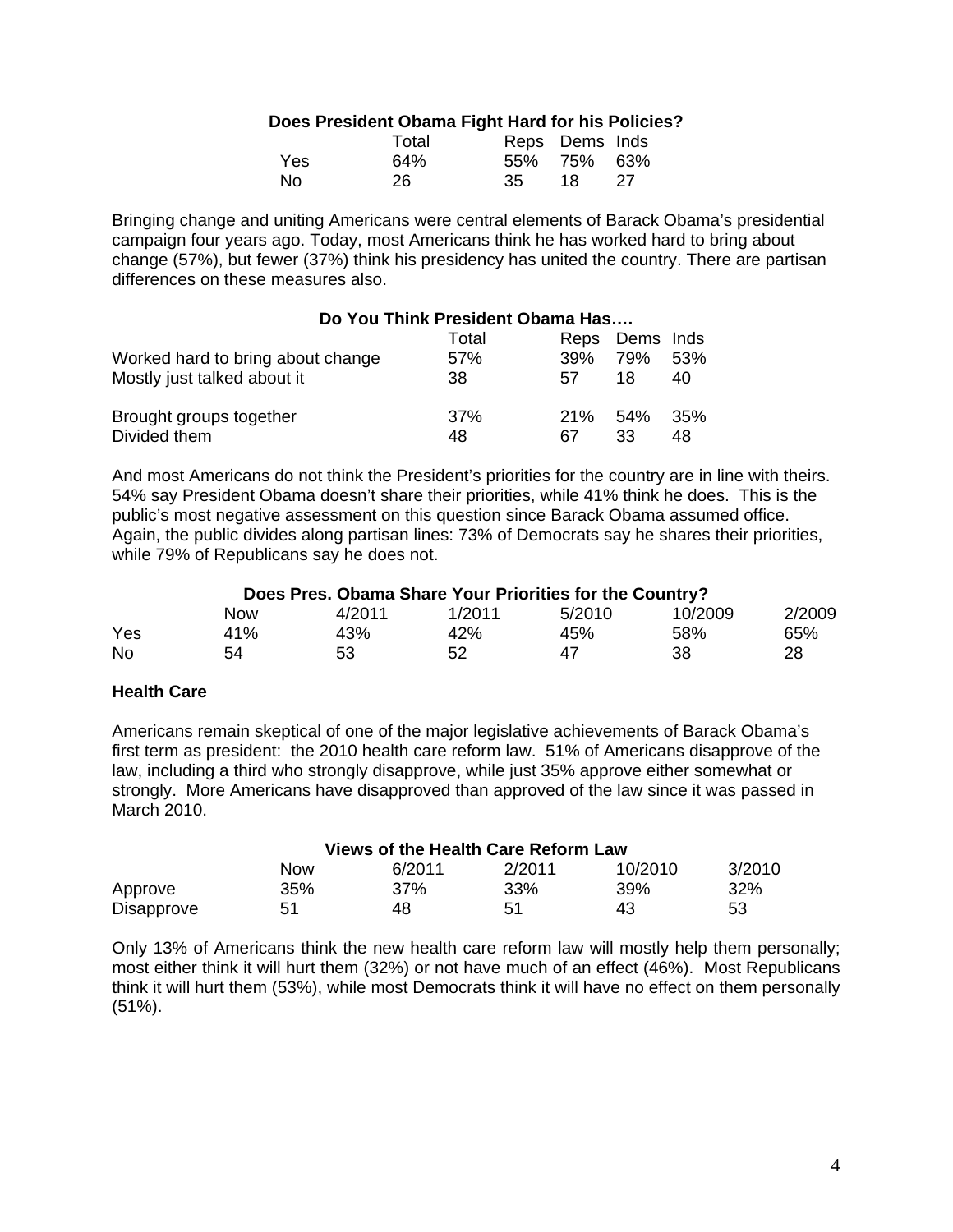# **Does President Obama Fight Hard for his Policies?**

|     | Total | Reps Dems Inds |        |      |
|-----|-------|----------------|--------|------|
| Yes | 64%   | 55% 75% 63%    |        |      |
| Nο  | 26    | - 35           | - 18 - | - 27 |

Bringing change and uniting Americans were central elements of Barack Obama's presidential campaign four years ago. Today, most Americans think he has worked hard to bring about change (57%), but fewer (37%) think his presidency has united the country. There are partisan differences on these measures also.

|                                   | Do You Think President Obama Has |     |                |     |
|-----------------------------------|----------------------------------|-----|----------------|-----|
|                                   | Total                            |     | Reps Dems Inds |     |
| Worked hard to bring about change | 57%                              | 39% | 79%            | 53% |
| Mostly just talked about it       | 38                               | 57  | 18             | 40  |
| Brought groups together           | 37%                              | 21% | 54%            | 35% |
| Divided them                      | 48                               | 67  | 33             | 48  |

And most Americans do not think the President's priorities for the country are in line with theirs. 54% say President Obama doesn't share their priorities, while 41% think he does. This is the public's most negative assessment on this question since Barack Obama assumed office. Again, the public divides along partisan lines: 73% of Democrats say he shares their priorities, while 79% of Republicans say he does not.

| Does Pres. Obama Share Your Priorities for the Country? |  |
|---------------------------------------------------------|--|
|---------------------------------------------------------|--|

|     | <b>Now</b> | 4/2011 | 1/2011 | 5/2010 | 10/2009 | 2/2009 |
|-----|------------|--------|--------|--------|---------|--------|
| Yes | 41%        | 43%    | 42%    | 45%    | 58%     | 65%    |
| No  | 54         | 53     | 52     | 47     | 38      | 28     |

# **Health Care**

Americans remain skeptical of one of the major legislative achievements of Barack Obama's first term as president: the 2010 health care reform law. 51% of Americans disapprove of the law, including a third who strongly disapprove, while just 35% approve either somewhat or strongly. More Americans have disapproved than approved of the law since it was passed in March 2010.

| Views of the Health Care Reform Law |     |        |        |         |        |
|-------------------------------------|-----|--------|--------|---------|--------|
|                                     | Now | 6/2011 | 2/2011 | 10/2010 | 3/2010 |
| Approve                             | 35% | 37%    | 33%    | 39%     | 32%    |
| <b>Disapprove</b>                   | 51  | 48     | 51     | 43      | 53     |

Only 13% of Americans think the new health care reform law will mostly help them personally; most either think it will hurt them (32%) or not have much of an effect (46%). Most Republicans think it will hurt them (53%), while most Democrats think it will have no effect on them personally (51%).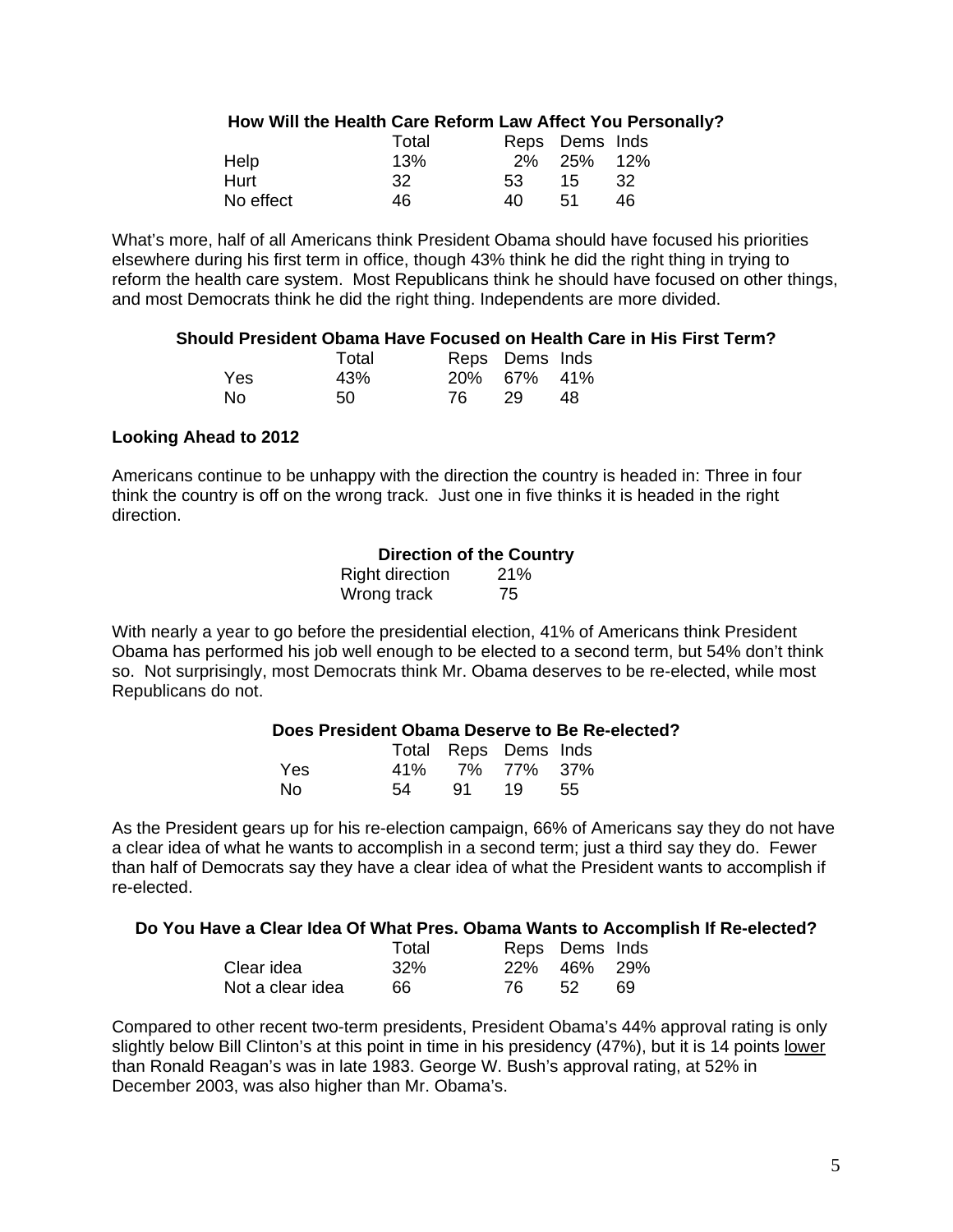## **How Will the Health Care Reform Law Affect You Personally?**

|           | Total |     | Reps Dems Inds |     |
|-----------|-------|-----|----------------|-----|
| Help      | 13%   |     | 2% 25% 12%     |     |
| Hurt      | -32   | -53 | - 15           | -32 |
| No effect | 46    | 40. | .51            | 46  |

What's more, half of all Americans think President Obama should have focused his priorities elsewhere during his first term in office, though 43% think he did the right thing in trying to reform the health care system. Most Republicans think he should have focused on other things, and most Democrats think he did the right thing. Independents are more divided.

#### **Should President Obama Have Focused on Health Care in His First Term?**

|     | Total |     | Reps Dems Inds |    |
|-----|-------|-----|----------------|----|
| Yes | 43%   |     | 20% 67% 41%    |    |
| No. | 50    | 76. | - 29           | 48 |

#### **Looking Ahead to 2012**

Americans continue to be unhappy with the direction the country is headed in: Three in four think the country is off on the wrong track. Just one in five thinks it is headed in the right direction.

## **Direction of the Country**

| <b>Right direction</b> | 21% |
|------------------------|-----|
| Wrong track            | 75  |

With nearly a year to go before the presidential election, 41% of Americans think President Obama has performed his job well enough to be elected to a second term, but 54% don't think so. Not surprisingly, most Democrats think Mr. Obama deserves to be re-elected, while most Republicans do not.

## **Does President Obama Deserve to Be Re-elected?**

|      |    | Total Reps Dems Inds |          |  |
|------|----|----------------------|----------|--|
| Yes. |    | 41% 7% 77% 37%       |          |  |
| No.  | 54 |                      | 91 19 55 |  |

As the President gears up for his re-election campaign, 66% of Americans say they do not have a clear idea of what he wants to accomplish in a second term; just a third say they do. Fewer than half of Democrats say they have a clear idea of what the President wants to accomplish if re-elected.

## **Do You Have a Clear Idea Of What Pres. Obama Wants to Accomplish If Re-elected?**

|                  | Total | Reps Dems Inds |     |
|------------------|-------|----------------|-----|
| Clear idea       | 32%   | 22% 46% 29%    |     |
| Not a clear idea | 66    | .52            | -69 |

Compared to other recent two-term presidents, President Obama's 44% approval rating is only slightly below Bill Clinton's at this point in time in his presidency (47%), but it is 14 points lower than Ronald Reagan's was in late 1983. George W. Bush's approval rating, at 52% in December 2003, was also higher than Mr. Obama's.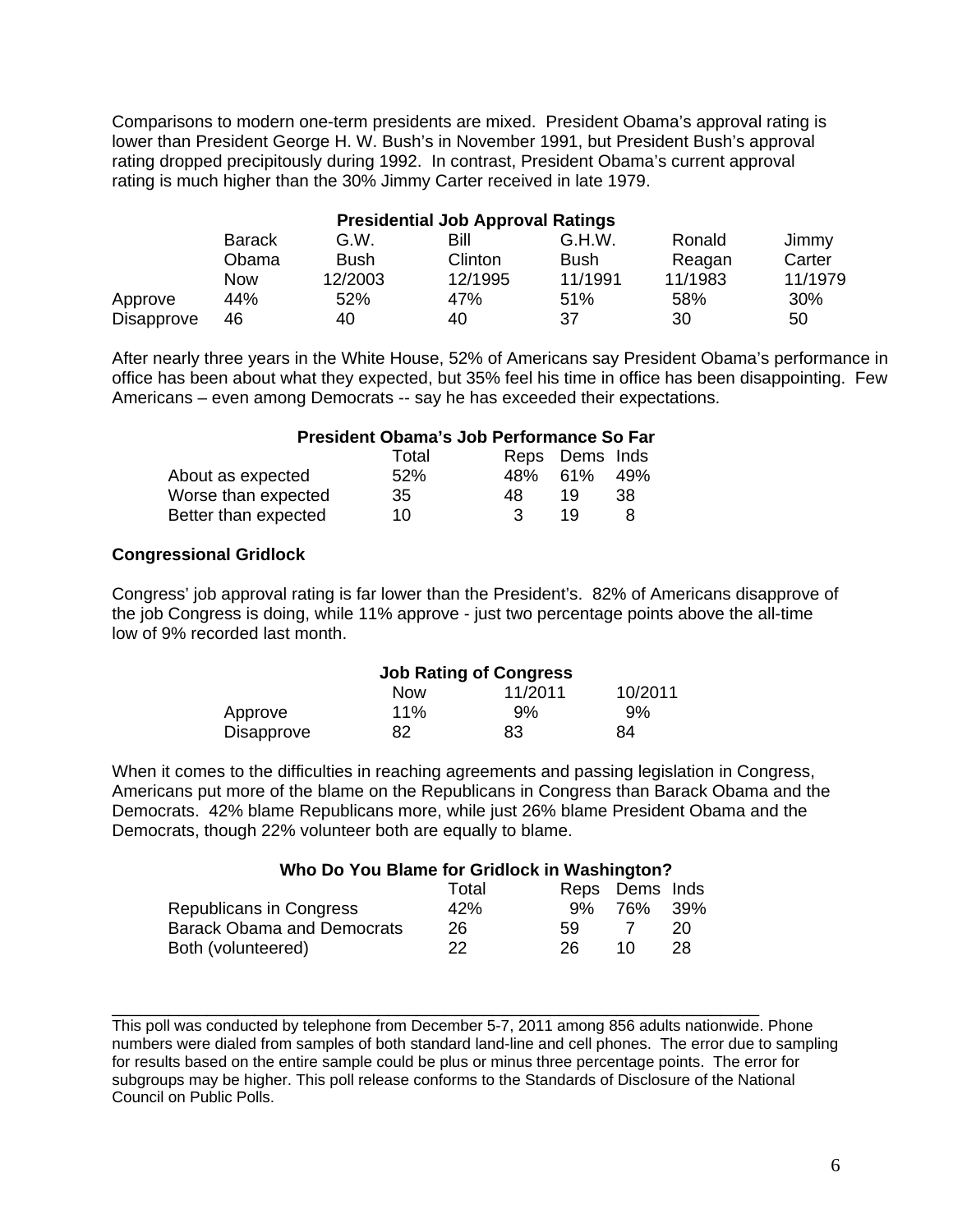Comparisons to modern one-term presidents are mixed. President Obama's approval rating is lower than President George H. W. Bush's in November 1991, but President Bush's approval rating dropped precipitously during 1992. In contrast, President Obama's current approval rating is much higher than the 30% Jimmy Carter received in late 1979.

| <b>Presidential Job Approval Ratings</b> |               |         |         |             |         |         |
|------------------------------------------|---------------|---------|---------|-------------|---------|---------|
|                                          | <b>Barack</b> | G.W.    | Bill    | G.H.W.      | Ronald  | Jimmy   |
|                                          | Obama         | Bush    | Clinton | <b>Bush</b> | Reagan  | Carter  |
|                                          | <b>Now</b>    | 12/2003 | 12/1995 | 11/1991     | 11/1983 | 11/1979 |
| Approve                                  | 44%           | 52%     | 47%     | 51%         | 58%     | 30%     |
| Disapprove                               | 46            | 40      | 40      | 37          | 30      | 50      |

After nearly three years in the White House, 52% of Americans say President Obama's performance in office has been about what they expected, but 35% feel his time in office has been disappointing. Few Americans – even among Democrats -- say he has exceeded their expectations.

|                      | President Obama's Job Performance So Far |     |                |     |
|----------------------|------------------------------------------|-----|----------------|-----|
|                      | Total                                    |     | Reps Dems Inds |     |
| About as expected    | 52%                                      | 48% | 61%            | 49% |
| Worse than expected  | 35                                       | 48  | 19             | 38  |
| Better than expected | 10                                       | ર   | 1 Q            | я   |

# **Congressional Gridlock**

Congress' job approval rating is far lower than the President's. 82% of Americans disapprove of the job Congress is doing, while 11% approve - just two percentage points above the all-time low of 9% recorded last month.

|                   | <b>Job Rating of Congress</b> |         |         |
|-------------------|-------------------------------|---------|---------|
|                   | <b>Now</b>                    | 11/2011 | 10/2011 |
| Approve           | $11\%$                        | 9%      | $9\%$   |
| <b>Disapprove</b> | 82                            | 83      | 84      |

When it comes to the difficulties in reaching agreements and passing legislation in Congress, Americans put more of the blame on the Republicans in Congress than Barack Obama and the Democrats. 42% blame Republicans more, while just 26% blame President Obama and the Democrats, though 22% volunteer both are equally to blame.

| Who Do You Blame for Gridlock in Washington? |       |    |                |     |
|----------------------------------------------|-------|----|----------------|-----|
|                                              | Total |    | Reps Dems Inds |     |
| Republicans in Congress                      | 42%   | 9% | 76%            | 39% |
| <b>Barack Obama and Democrats</b>            | 26    | 59 |                | 20  |
| Both (volunteered)                           | 22.   | 26 | 10             | 28  |

\_\_\_\_\_\_\_\_\_\_\_\_\_\_\_\_\_\_\_\_\_\_\_\_\_\_\_\_\_\_\_\_\_\_\_\_\_\_\_\_\_\_\_\_\_\_\_\_\_\_\_\_\_\_\_\_\_\_\_\_\_\_\_\_\_\_\_\_

This poll was conducted by telephone from December 5-7, 2011 among 856 adults nationwide. Phone numbers were dialed from samples of both standard land-line and cell phones. The error due to sampling for results based on the entire sample could be plus or minus three percentage points. The error for subgroups may be higher. This poll release conforms to the Standards of Disclosure of the National Council on Public Polls.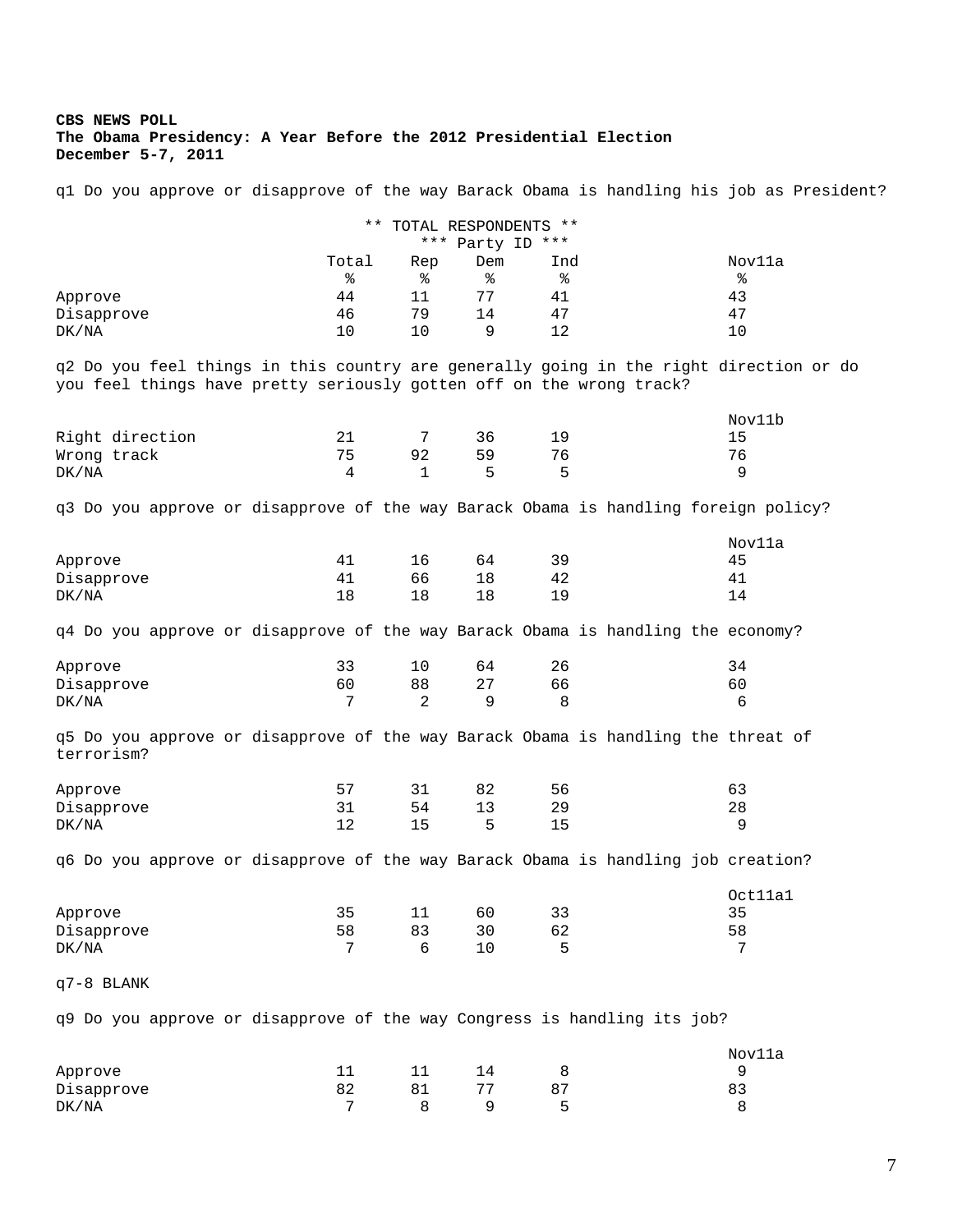#### **CBS NEWS POLL The Obama Presidency: A Year Before the 2012 Presidential Election December 5-7, 2011**

q1 Do you approve or disapprove of the way Barack Obama is handling his job as President?

|            |       |     | ** TOTAL RESPONDENTS **<br>*** Party ID *** |     |        |
|------------|-------|-----|---------------------------------------------|-----|--------|
|            | Total | Rep | Dem                                         | Ind | Nov11a |
|            | ిన    | နွ  | ୫                                           | ႜ   | နွ     |
| Approve    | 44    |     | 77                                          | 41  | 43     |
| Disapprove | 46    | 79  | 14                                          | 47  | 47     |
| DK/NA      | 10    | 10  | 9                                           | 12  | 10     |
|            |       |     |                                             |     |        |

q2 Do you feel things in this country are generally going in the right direction or do you feel things have pretty seriously gotten off on the wrong track?

|                 |     |    |           |     | Nov11b |
|-----------------|-----|----|-----------|-----|--------|
| Right direction |     |    | 36        | 1 Q | 15.    |
| Wrong track     | 75. | 92 | 59        | 76  | 76     |
| DK/NA           | 4   |    | $\perp$ 5 | ь.  |        |

q3 Do you approve or disapprove of the way Barack Obama is handling foreign policy?

|            |                |    |    |     | Nov11a |
|------------|----------------|----|----|-----|--------|
| Approve    | 4 <sup>1</sup> | 16 | 64 | 39  | 45     |
| Disapprove | 4 <sup>1</sup> | 66 |    | 42  | 41     |
| DK/NA      | 18             | 18 |    | 1 Q | 14     |

q4 Do you approve or disapprove of the way Barack Obama is handling the economy?

| Approve    |    |    | - - |
|------------|----|----|-----|
| Disapprove | 88 | 66 | 6 C |
| DK/NA      |    |    |     |

q5 Do you approve or disapprove of the way Barack Obama is handling the threat of terrorism?

| Approve    | ັ |    |   |    |    |
|------------|---|----|---|----|----|
| Disapprove |   | 54 | ᅩ | 29 | 40 |
| DK/NA      |   | -- | ↳ |    |    |

q6 Do you approve or disapprove of the way Barack Obama is handling job creation?

|            |    |   |    |     | Oct11a1 |
|------------|----|---|----|-----|---------|
| Approve    | 35 |   | 60 | ر ر | 35      |
| Disapprove | 58 |   | 30 | 62  | 58      |
| DK/NA      |    | b |    |     |         |

#### q7-8 BLANK

q9 Do you approve or disapprove of the way Congress is handling its job?

|            |    |  |                          | Nov11a |  |
|------------|----|--|--------------------------|--------|--|
| Approve    |    |  |                          | u      |  |
| Disapprove | 82 |  |                          | 83     |  |
| DK/NA      |    |  | $\overline{\phantom{a}}$ |        |  |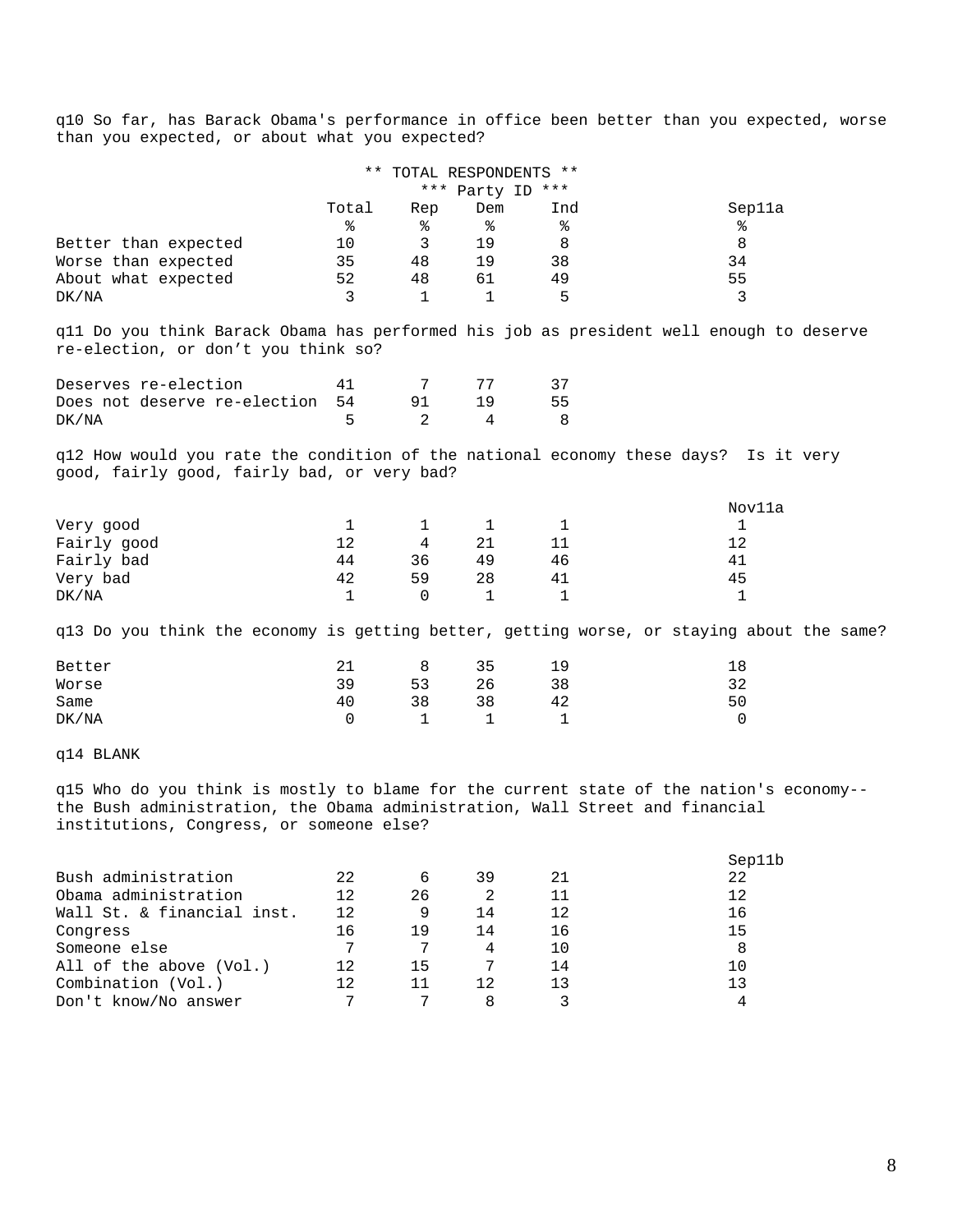q10 So far, has Barack Obama's performance in office been better than you expected, worse than you expected, or about what you expected?

|                                                                                                                                                                                                                     |              | ** TOTAL RESPONDENTS ** |                |                  |                                                                                           |
|---------------------------------------------------------------------------------------------------------------------------------------------------------------------------------------------------------------------|--------------|-------------------------|----------------|------------------|-------------------------------------------------------------------------------------------|
|                                                                                                                                                                                                                     |              |                         |                | *** Party ID *** |                                                                                           |
|                                                                                                                                                                                                                     | Total        | Rep                     | Dem            | Ind              | Sep11a                                                                                    |
|                                                                                                                                                                                                                     | နွ           | နွ                      | နွ             | နွ               | ႜ                                                                                         |
| Better than expected                                                                                                                                                                                                | 10           | 3                       | 19             | 8                | 8                                                                                         |
| Worse than expected                                                                                                                                                                                                 | 35           | 48                      | 19             | 38               | 34                                                                                        |
| About what expected                                                                                                                                                                                                 | 52           | 48                      | 61             | 49               | 55                                                                                        |
| DK/NA                                                                                                                                                                                                               | 3            | 1                       | 1              | 5                | 3                                                                                         |
| q11 Do you think Barack Obama has performed his job as president well enough to deserve<br>re-election, or don't you think so?                                                                                      |              |                         |                |                  |                                                                                           |
| Deserves re-election                                                                                                                                                                                                | 41           | 7                       | 77             | 37               |                                                                                           |
| Does not deserve re-election                                                                                                                                                                                        | 54           | 91                      | 19             | 55               |                                                                                           |
| DK/NA                                                                                                                                                                                                               | 5            | 2                       | 4              | 8                |                                                                                           |
| q12 How would you rate the condition of the national economy these days? Is it very<br>good, fairly good, fairly bad, or very bad?                                                                                  |              |                         |                |                  |                                                                                           |
|                                                                                                                                                                                                                     |              |                         |                |                  | Nov11a                                                                                    |
| Very good                                                                                                                                                                                                           | $\mathbf{1}$ | 1                       | $\mathbf{1}$   | $\mathbf{1}$     | 1                                                                                         |
| Fairly good                                                                                                                                                                                                         | 12           | 4                       | 21             | 11               | 12                                                                                        |
| Fairly bad                                                                                                                                                                                                          | 44           | 36                      | 49             | 46               | 41                                                                                        |
| Very bad                                                                                                                                                                                                            | 42           | 59                      | 28             | 41               | 45                                                                                        |
| DK/NA                                                                                                                                                                                                               | $\mathbf{1}$ | 0                       | 1              | $\mathbf{1}$     | 1                                                                                         |
|                                                                                                                                                                                                                     |              |                         |                |                  | q13 Do you think the economy is getting better, getting worse, or staying about the same? |
| Better                                                                                                                                                                                                              | 21           | 8                       | 35             | 19               | 18                                                                                        |
| Worse                                                                                                                                                                                                               | 39           | 53                      | 26             | 38               | 32                                                                                        |
| Same                                                                                                                                                                                                                | 40           | 38                      | 38             | 42               | 50                                                                                        |
| DK/NA                                                                                                                                                                                                               | 0            | 1                       | 1              | 1                | 0                                                                                         |
| q14 BLANK                                                                                                                                                                                                           |              |                         |                |                  |                                                                                           |
| q15 Who do you think is mostly to blame for the current state of the nation's economy--<br>the Bush administration, the Obama administration, Wall Street and financial<br>institutions, Congress, or someone else? |              |                         |                |                  |                                                                                           |
|                                                                                                                                                                                                                     |              |                         |                |                  | Sep11b                                                                                    |
| Bush administration                                                                                                                                                                                                 | 22           | 6                       | 39             | 21               | 22                                                                                        |
| Obama administration                                                                                                                                                                                                | 12           | 26                      | $\overline{a}$ | 11               | 12                                                                                        |
| Wall St. & financial inst.                                                                                                                                                                                          | 12           | 9                       | 14             | 12               | 16                                                                                        |
| Congress                                                                                                                                                                                                            | 16           | 19                      | 14             | 16               | 15                                                                                        |
| Someone else                                                                                                                                                                                                        | 7            | 7                       | 4              | 10               | 8                                                                                         |
| All of the above (Vol.)                                                                                                                                                                                             | 12           | 15                      | 7              | 14               | 10                                                                                        |
| Combination (Vol.)                                                                                                                                                                                                  | 12           | 11                      | 12             | 13               | 13                                                                                        |
| Don't know/No answer                                                                                                                                                                                                | 7            | 7                       | 8              | 3                | 4                                                                                         |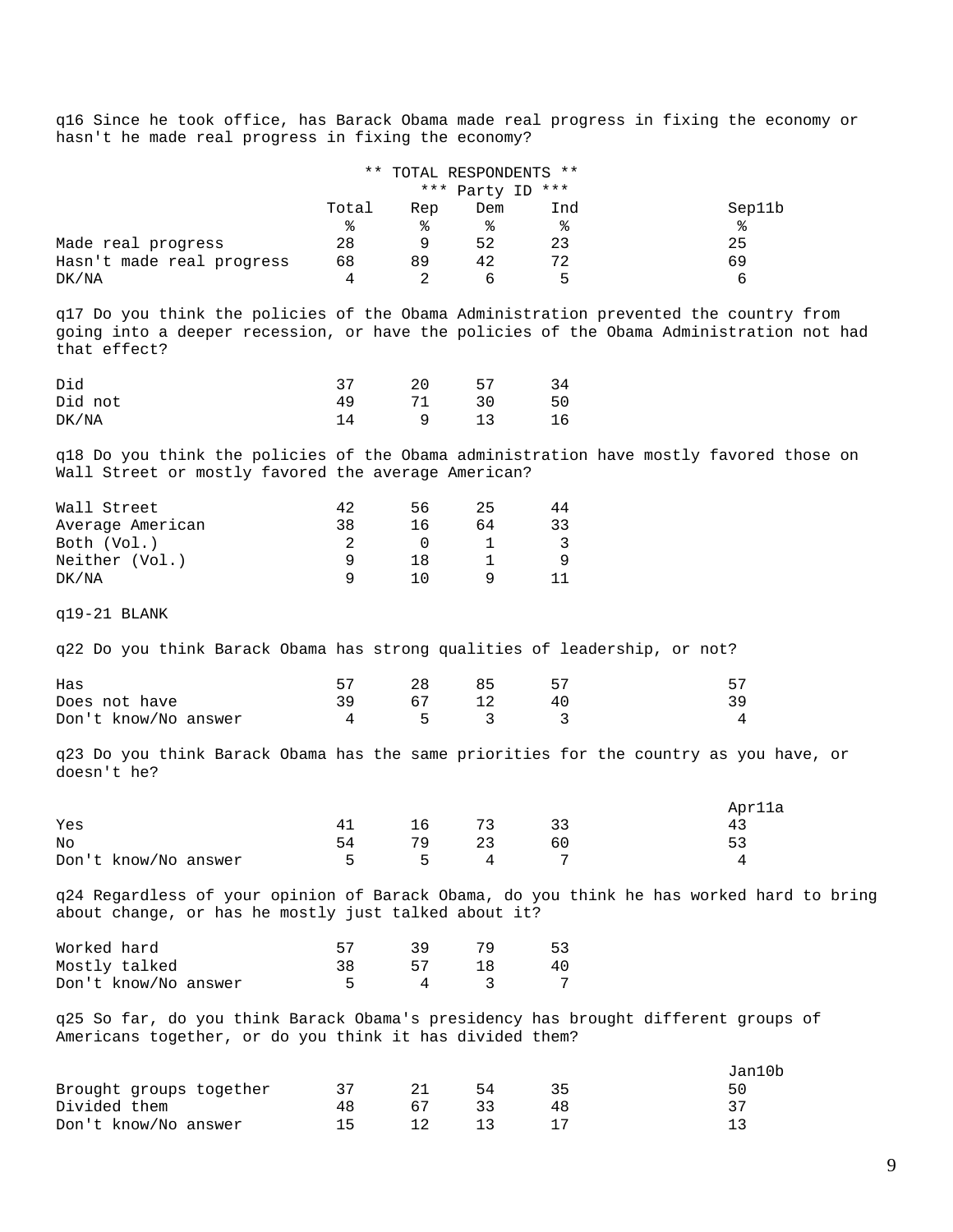q16 Since he took office, has Barack Obama made real progress in fixing the economy or hasn't he made real progress in fixing the economy?

|                           | ** TOTAL RESPONDENTS ** |     |                  |     |        |
|---------------------------|-------------------------|-----|------------------|-----|--------|
|                           |                         |     | *** Party ID *** |     |        |
|                           | Total                   | Rep | Dem              | Ind | Sep11b |
|                           | ిన                      | °   | °                | °   | ిక     |
| Made real progress        | 28                      |     | 52               | 23  | 25     |
| Hasn't made real progress | 68                      | 89  | 42               | 72  | 69     |
| DK/NA                     |                         |     |                  | h   | h      |

q17 Do you think the policies of the Obama Administration prevented the country from going into a deeper recession, or have the policies of the Obama Administration not had that effect?

| Did     |    | 20 | 57 |    |
|---------|----|----|----|----|
| Did not | 49 |    | 30 | 50 |
| DK/NA   |    |    |    | 16 |

q18 Do you think the policies of the Obama administration have mostly favored those on Wall Street or mostly favored the average American?

| Wall Street      |    | 56 | 25 | 44 |
|------------------|----|----|----|----|
| Average American | 38 | 16 | 64 | スス |
| Both (Vol.)      |    |    |    |    |
| Neither (Vol.)   |    |    |    |    |
| DK/NA            |    |    |    |    |

q19-21 BLANK

q22 Do you think Barack Obama has strong qualities of leadership, or not?

| Has                  |     | 28      | 85    |     |                |
|----------------------|-----|---------|-------|-----|----------------|
| Does not have        | 39. |         | 67 12 | -40 |                |
| Don't know/No answer |     | 4 5 3 3 |       |     | $\overline{a}$ |

q23 Do you think Barack Obama has the same priorities for the country as you have, or doesn't he?

|                      |    |    |         |    | Apr11a |
|----------------------|----|----|---------|----|--------|
| Yes                  | 41 |    | 16 73   | 33 |        |
| No                   | 54 | 79 | 23      | 60 |        |
| Don't know/No answer |    |    | 5 5 4 7 |    |        |

q24 Regardless of your opinion of Barack Obama, do you think he has worked hard to bring about change, or has he mostly just talked about it?

| Worked hard          | 57 |    | 53 |
|----------------------|----|----|----|
| Mostly talked        |    | 57 | 40 |
| Don't know/No answer |    |    |    |

q25 So far, do you think Barack Obama's presidency has brought different groups of Americans together, or do you think it has divided them?

|                         |    |    | Jan10b |
|-------------------------|----|----|--------|
| Brought groups together |    | 54 | 50     |
| Divided them            | 48 |    |        |
| Don't know/No answer    |    |    |        |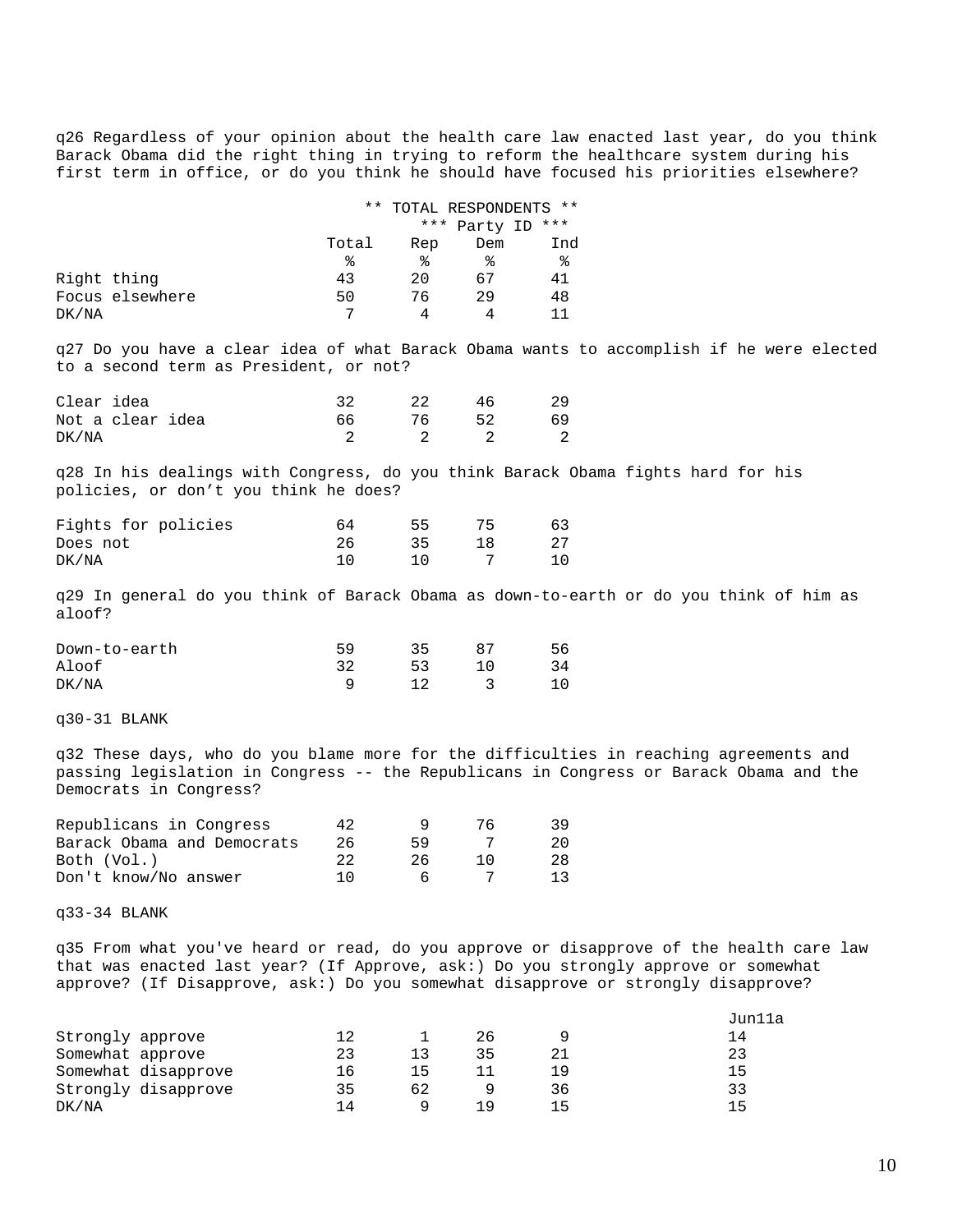q26 Regardless of your opinion about the health care law enacted last year, do you think Barack Obama did the right thing in trying to reform the healthcare system during his first term in office, or do you think he should have focused his priorities elsewhere?

|                 |       | ** TOTAL RESPONDENTS ** |              |     |
|-----------------|-------|-------------------------|--------------|-----|
|                 |       |                         | *** Party ID | *** |
|                 | Total | Rep                     | Dem          | Ind |
|                 | ిన    | °≈                      | °≈           | ႜ   |
| Right thing     | 43    | 20                      | 67           | 41  |
| Focus elsewhere | 50    | 76                      | 29           | 48  |
| DK/NA           | 7     |                         |              |     |

q27 Do you have a clear idea of what Barack Obama wants to accomplish if he were elected to a second term as President, or not?

| Clear idea |                  |  | 22 | 46 |    |
|------------|------------------|--|----|----|----|
|            | Not a clear idea |  | 76 | 52 | 69 |
| DK/NA      |                  |  |    |    |    |

q28 In his dealings with Congress, do you think Barack Obama fights hard for his policies, or don't you think he does?

| Fights for policies | 64 | 55. | 75 | 63  |
|---------------------|----|-----|----|-----|
| Does not            |    | 35  |    | -27 |
| DK/NA               |    |     |    |     |

q29 In general do you think of Barack Obama as down-to-earth or do you think of him as aloof?

| Down-to-earth | 59 | マヒ |  |
|---------------|----|----|--|
| Aloof         |    | 53 |  |
| DK/NA         |    |    |  |

q30-31 BLANK

q32 These days, who do you blame more for the difficulties in reaching agreements and passing legislation in Congress -- the Republicans in Congress or Barack Obama and the Democrats in Congress?

| Republicans in Congress    | 42  |    | 76. | -39 |
|----------------------------|-----|----|-----|-----|
| Barack Obama and Democrats | 26  | 59 |     | 20  |
| Both (Vol.)                |     | 26 | 10  | 28  |
| Don't know/No answer       | ו ו |    |     |     |

q33-34 BLANK

q35 From what you've heard or read, do you approve or disapprove of the health care law that was enacted last year? (If Approve, ask:) Do you strongly approve or somewhat approve? (If Disapprove, ask:) Do you somewhat disapprove or strongly disapprove?

|                     |    |     |     |     | Jun11a |
|---------------------|----|-----|-----|-----|--------|
| Strongly approve    |    |     | 26  |     | 14     |
| Somewhat approve    | 23 |     | 35  |     | 23     |
| Somewhat disapprove | 16 | ר ו |     | 1 9 | 15     |
| Strongly disapprove | 35 | 62  |     | 36  | 33     |
| DK/NA               | 14 |     | 1 Q | 15  | 15     |